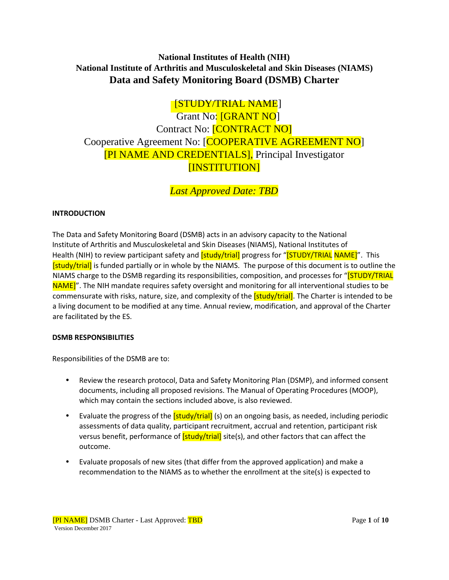## **National Institutes of Health (NIH) National Institute of Arthritis and Musculoskeletal and Skin Diseases (NIAMS) Data and Safety Monitoring Board (DSMB) Charter**

# [STUDY/TRIAL NAME]

Grant No: [GRANT NO] Contract No: [CONTRACT NO] Cooperative Agreement No: [COOPERATIVE AGREEMENT NO] [PI NAME AND CREDENTIALS], Principal Investigator [INSTITUTION]

*Last Approved Date: TBD*

### **INTRODUCTION**

The Data and Safety Monitoring Board (DSMB) acts in an advisory capacity to the National Institute of Arthritis and Musculoskeletal and Skin Diseases (NIAMS), National Institutes of Health (NIH) to review participant safety and *[study/trial]* progress for "*[STUDY/TRIAL NAME]"*. This **[study/trial]** is funded partially or in whole by the NIAMS. The purpose of this document is to outline the NIAMS charge to the DSMB regarding its responsibilities, composition, and processes for "[STUDY/TRIAL NAME]". The NIH mandate requires safety oversight and monitoring for all interventional studies to be commensurate with risks, nature, size, and complexity of the **[study/trial]**. The Charter is intended to be a living document to be modified at any time. Annual review, modification, and approval of the Charter are facilitated by the ES.

#### **DSMB RESPONSIBILITIES**

Responsibilities of the DSMB are to:

- Review the research protocol, Data and Safety Monitoring Plan (DSMP), and informed consent documents, including all proposed revisions. The Manual of Operating Procedures (MOOP), which may contain the sections included above, is also reviewed.
- Evaluate the progress of the [study/trial] (s) on an ongoing basis, as needed, including periodic assessments of data quality, participant recruitment, accrual and retention, participant risk versus benefit, performance of **[study/trial]** site(s), and other factors that can affect the outcome.
- Evaluate proposals of new sites (that differ from the approved application) and make a recommendation to the NIAMS as to whether the enrollment at the site(s) is expected to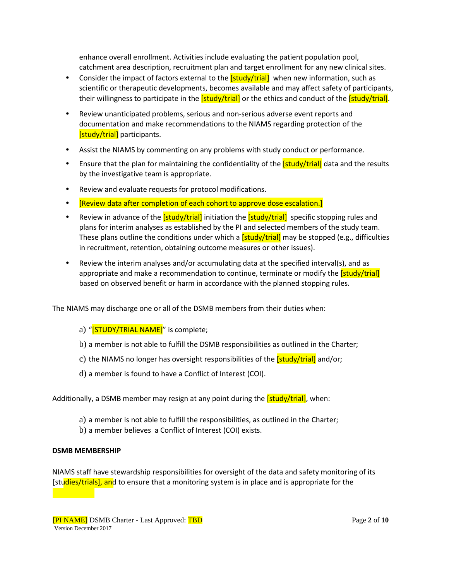enhance overall enrollment. Activities include evaluating the patient population pool, catchment area description, recruitment plan and target enrollment for any new clinical sites.

- Consider the impact of factors external to the **[study/trial]** when new information, such as scientific or therapeutic developments, becomes available and may affect safety of participants, their willingness to participate in the  $\left[\frac{\text{study}}{\text{trial}}\right]$  or the ethics and conduct of the  $\left[\frac{\text{study}}{\text{trial}}\right]$ .
- Review unanticipated problems, serious and non-serious adverse event reports and documentation and make recommendations to the NIAMS regarding protection of the [study/trial] participants.
- Assist the NIAMS by commenting on any problems with study conduct or performance.
- Ensure that the plan for maintaining the confidentiality of the *[study/trial]* data and the results by the investigative team is appropriate.
- Review and evaluate requests for protocol modifications.
- **[Review data after completion of each cohort to approve dose escalation.]**
- Review in advance of the [study/trial] initiation the [study/trial] specific stopping rules and plans for interim analyses as established by the PI and selected members of the study team. These plans outline the conditions under which a  $[study/trial]$  may be stopped (e.g., difficulties in recruitment, retention, obtaining outcome measures or other issues).
- Review the interim analyses and/or accumulating data at the specified interval(s), and as appropriate and make a recommendation to continue, terminate or modify the [study/trial] based on observed benefit or harm in accordance with the planned stopping rules.

The NIAMS may discharge one or all of the DSMB members from their duties when:

- a) "[STUDY/TRIAL NAME]" is complete;
- b) a member is not able to fulfill the DSMB responsibilities as outlined in the Charter;
- c) the NIAMS no longer has oversight responsibilities of the **[study/trial]** and/or;
- d) a member is found to have a Conflict of Interest (COI).

Additionally, a DSMB member may resign at any point during the [study/trial], when:

- a) a member is not able to fulfill the responsibilities, as outlined in the Charter;
- b) a member believes a Conflict of Interest (COI) exists.

#### **DSMB MEMBERSHIP**

NIAMS staff have stewardship responsibilities for oversight of the data and safety monitoring of its [studies/trials], and to ensure that a monitoring system is in place and is appropriate for the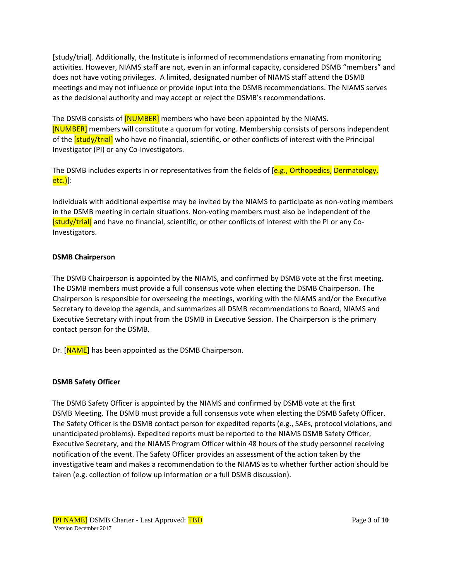[study/trial]. Additionally, the Institute is informed of recommendations emanating from monitoring activities. However, NIAMS staff are not, even in an informal capacity, considered DSMB "members" and does not have voting privileges. A limited, designated number of NIAMS staff attend the DSMB meetings and may not influence or provide input into the DSMB recommendations. The NIAMS serves as the decisional authority and may accept or reject the DSMB's recommendations.

The DSMB consists of **[NUMBER]** members who have been appointed by the NIAMS. [NUMBER] members will constitute a quorum for voting. Membership consists of persons independent of the **[study/trial]** who have no financial, scientific, or other conflicts of interest with the Principal Investigator (PI) or any Co-Investigators.

The DSMB includes experts in or representatives from the fields of [e.g., Orthopedics, Dermatology, etc.)]:

Individuals with additional expertise may be invited by the NIAMS to participate as non-voting members in the DSMB meeting in certain situations. Non-voting members must also be independent of the [study/trial] and have no financial, scientific, or other conflicts of interest with the PI or any Co-Investigators.

#### **DSMB Chairperson**

The DSMB Chairperson is appointed by the NIAMS, and confirmed by DSMB vote at the first meeting. The DSMB members must provide a full consensus vote when electing the DSMB Chairperson. The Chairperson is responsible for overseeing the meetings, working with the NIAMS and/or the Executive Secretary to develop the agenda, and summarizes all DSMB recommendations to Board, NIAMS and Executive Secretary with input from the DSMB in Executive Session. The Chairperson is the primary contact person for the DSMB.

Dr. [NAME**]** has been appointed as the DSMB Chairperson.

#### **DSMB Safety Officer**

The DSMB Safety Officer is appointed by the NIAMS and confirmed by DSMB vote at the first DSMB Meeting. The DSMB must provide a full consensus vote when electing the DSMB Safety Officer. The Safety Officer is the DSMB contact person for expedited reports (e.g., SAEs, protocol violations, and unanticipated problems). Expedited reports must be reported to the NIAMS DSMB Safety Officer, Executive Secretary, and the NIAMS Program Officer within 48 hours of the study personnel receiving notification of the event. The Safety Officer provides an assessment of the action taken by the investigative team and makes a recommendation to the NIAMS as to whether further action should be taken (e.g. collection of follow up information or a full DSMB discussion).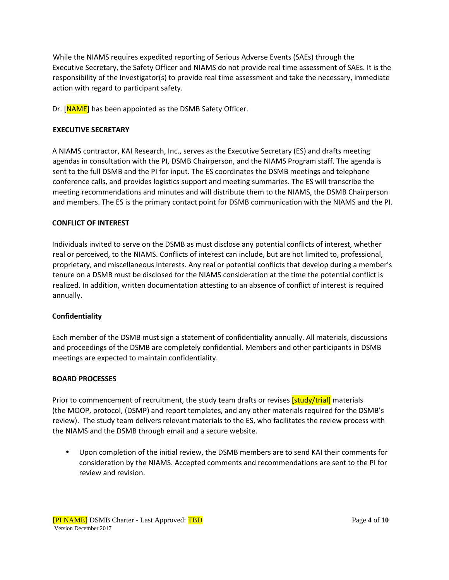While the NIAMS requires expedited reporting of Serious Adverse Events (SAEs) through the Executive Secretary, the Safety Officer and NIAMS do not provide real time assessment of SAEs. It is the responsibility of the Investigator(s) to provide real time assessment and take the necessary, immediate action with regard to participant safety.

Dr. [NAME**]** has been appointed as the DSMB Safety Officer.

### **EXECUTIVE SECRETARY**

A NIAMS contractor, KAI Research, Inc., serves as the Executive Secretary (ES) and drafts meeting agendas in consultation with the PI, DSMB Chairperson, and the NIAMS Program staff. The agenda is sent to the full DSMB and the PI for input. The ES coordinates the DSMB meetings and telephone conference calls, and provides logistics support and meeting summaries. The ES will transcribe the meeting recommendations and minutes and will distribute them to the NIAMS, the DSMB Chairperson and members. The ES is the primary contact point for DSMB communication with the NIAMS and the PI.

### **CONFLICT OF INTEREST**

Individuals invited to serve on the DSMB as must disclose any potential conflicts of interest, whether real or perceived, to the NIAMS. Conflicts of interest can include, but are not limited to, professional, proprietary, and miscellaneous interests. Any real or potential conflicts that develop during a member's tenure on a DSMB must be disclosed for the NIAMS consideration at the time the potential conflict is realized. In addition, written documentation attesting to an absence of conflict of interest is required annually.

### **Confidentiality**

Each member of the DSMB must sign a statement of confidentiality annually. All materials, discussions and proceedings of the DSMB are completely confidential. Members and other participants in DSMB meetings are expected to maintain confidentiality.

#### **BOARD PROCESSES**

Prior to commencement of recruitment, the study team drafts or revises **[study/trial]** materials (the MOOP, protocol, (DSMP) and report templates, and any other materials required for the DSMB's review). The study team delivers relevant materials to the ES, who facilitates the review process with the NIAMS and the DSMB through email and a secure website.

• Upon completion of the initial review, the DSMB members are to send KAI their comments for consideration by the NIAMS. Accepted comments and recommendations are sent to the PI for review and revision.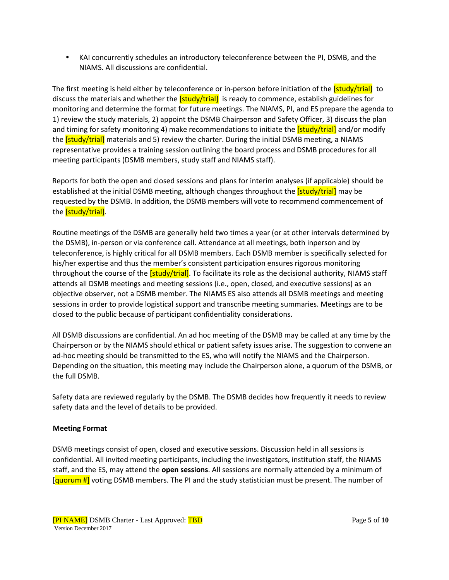• KAI concurrently schedules an introductory teleconference between the PI, DSMB, and the NIAMS. All discussions are confidential.

The first meeting is held either by teleconference or in-person before initiation of the [study/trial] to discuss the materials and whether the  $[study/trial]$  is ready to commence, establish guidelines for monitoring and determine the format for future meetings. The NIAMS, PI, and ES prepare the agenda to 1) review the study materials, 2) appoint the DSMB Chairperson and Safety Officer, 3) discuss the plan and timing for safety monitoring 4) make recommendations to initiate the **[study/trial]** and/or modify the *[study/trial]* materials and 5) review the charter. During the initial DSMB meeting, a NIAMS representative provides a training session outlining the board process and DSMB procedures for all meeting participants (DSMB members, study staff and NIAMS staff).

Reports for both the open and closed sessions and plans for interim analyses (if applicable) should be established at the initial DSMB meeting, although changes throughout the **[study/trial]** may be requested by the DSMB. In addition, the DSMB members will vote to recommend commencement of the [study/trial].

Routine meetings of the DSMB are generally held two times a year (or at other intervals determined by the DSMB), in-person or via conference call. Attendance at all meetings, both inperson and by teleconference, is highly critical for all DSMB members. Each DSMB member is specifically selected for his/her expertise and thus the member's consistent participation ensures rigorous monitoring throughout the course of the *[study/trial]*. To facilitate its role as the decisional authority, NIAMS staff attends all DSMB meetings and meeting sessions (i.e., open, closed, and executive sessions) as an objective observer, not a DSMB member. The NIAMS ES also attends all DSMB meetings and meeting sessions in order to provide logistical support and transcribe meeting summaries. Meetings are to be closed to the public because of participant confidentiality considerations.

All DSMB discussions are confidential. An ad hoc meeting of the DSMB may be called at any time by the Chairperson or by the NIAMS should ethical or patient safety issues arise. The suggestion to convene an ad-hoc meeting should be transmitted to the ES, who will notify the NIAMS and the Chairperson. Depending on the situation, this meeting may include the Chairperson alone, a quorum of the DSMB, or the full DSMB.

Safety data are reviewed regularly by the DSMB. The DSMB decides how frequently it needs to review safety data and the level of details to be provided.

### **Meeting Format**

DSMB meetings consist of open, closed and executive sessions. Discussion held in all sessions is confidential. All invited meeting participants, including the investigators, institution staff, the NIAMS staff, and the ES, may attend the **open sessions**. All sessions are normally attended by a minimum of [quorum #] voting DSMB members. The PI and the study statistician must be present. The number of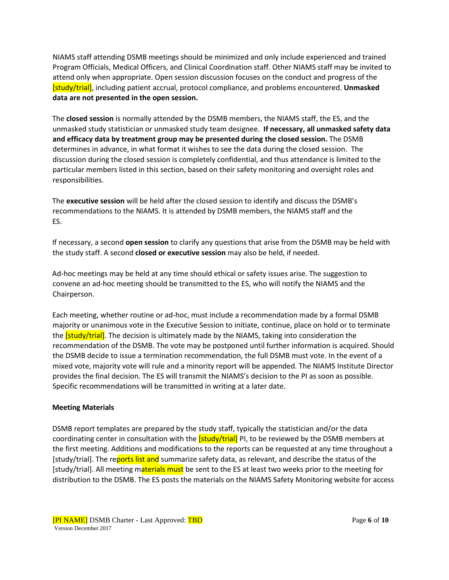NIAMS staff attending DSMB meetings should be minimized and only include experienced and trained Program Officials, Medical Officers, and Clinical Coordination staff. Other NIAMS staff may be invited to attend only when appropriate. Open session discussion focuses on the conduct and progress of the [study/trial], including patient accrual, protocol compliance, and problems encountered. **Unmasked data are not presented in the open session.** 

The **closed session** is normally attended by the DSMB members, the NIAMS staff, the ES, and the unmasked study statistician or unmasked study team designee. **If necessary, all unmasked safety data and efficacy data by treatment group may be presented during the closed session.** The DSMB determines in advance, in what format it wishes to see the data during the closed session. The discussion during the closed session is completely confidential, and thus attendance is limited to the particular members listed in this section, based on their safety monitoring and oversight roles and responsibilities.

The **executive session** will be held after the closed session to identify and discuss the DSMB's recommendations to the NIAMS. It is attended by DSMB members, the NIAMS staff and the ES.

If necessary, a second **open session** to clarify any questions that arise from the DSMB may be held with the study staff. A second **closed or executive session** may also be held, if needed.

Ad-hoc meetings may be held at any time should ethical or safety issues arise. The suggestion to convene an ad-hoc meeting should be transmitted to the ES, who will notify the NIAMS and the Chairperson.

Each meeting, whether routine or ad-hoc, must include a recommendation made by a formal DSMB majority or unanimous vote in the Executive Session to initiate, continue, place on hold or to terminate the **[study/trial]**. The decision is ultimately made by the NIAMS, taking into consideration the recommendation of the DSMB. The vote may be postponed until further information is acquired. Should the DSMB decide to issue a termination recommendation, the full DSMB must vote. In the event of a mixed vote, majority vote will rule and a minority report will be appended. The NIAMS Institute Director provides the final decision. The ES will transmit the NIAMS's decision to the PI as soon as possible. Specific recommendations will be transmitted in writing at a later date.

#### **Meeting Materials**

DSMB report templates are prepared by the study staff, typically the statistician and/or the data coordinating center in consultation with the *[study/trial]* PI, to be reviewed by the DSMB members at the first meeting. Additions and modifications to the reports can be requested at any time throughout a [study/trial]. The reports list and summarize safety data, as relevant, and describe the status of the [study/trial]. All meeting materials must be sent to the ES at least two weeks prior to the meeting for distribution to the DSMB. The ES posts the materials on the NIAMS Safety Monitoring website for access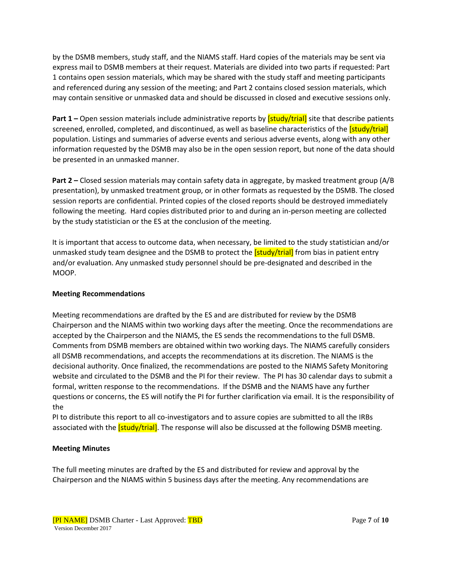by the DSMB members, study staff, and the NIAMS staff. Hard copies of the materials may be sent via express mail to DSMB members at their request. Materials are divided into two parts if requested: Part 1 contains open session materials, which may be shared with the study staff and meeting participants and referenced during any session of the meeting; and Part 2 contains closed session materials, which may contain sensitive or unmasked data and should be discussed in closed and executive sessions only.

**Part 1 –** Open session materials include administrative reports by *[study/trial]* site that describe patients screened, enrolled, completed, and discontinued, as well as baseline characteristics of the *[study/trial]* population. Listings and summaries of adverse events and serious adverse events, along with any other information requested by the DSMB may also be in the open session report, but none of the data should be presented in an unmasked manner.

**Part 2 –** Closed session materials may contain safety data in aggregate, by masked treatment group (A/B presentation), by unmasked treatment group, or in other formats as requested by the DSMB. The closed session reports are confidential. Printed copies of the closed reports should be destroyed immediately following the meeting. Hard copies distributed prior to and during an in-person meeting are collected by the study statistician or the ES at the conclusion of the meeting.

It is important that access to outcome data, when necessary, be limited to the study statistician and/or unmasked study team designee and the DSMB to protect the **[study/trial]** from bias in patient entry and/or evaluation. Any unmasked study personnel should be pre-designated and described in the MOOP.

### **Meeting Recommendations**

Meeting recommendations are drafted by the ES and are distributed for review by the DSMB Chairperson and the NIAMS within two working days after the meeting. Once the recommendations are accepted by the Chairperson and the NIAMS, the ES sends the recommendations to the full DSMB. Comments from DSMB members are obtained within two working days. The NIAMS carefully considers all DSMB recommendations, and accepts the recommendations at its discretion. The NIAMS is the decisional authority. Once finalized, the recommendations are posted to the NIAMS Safety Monitoring website and circulated to the DSMB and the PI for their review. The PI has 30 calendar days to submit a formal, written response to the recommendations. If the DSMB and the NIAMS have any further questions or concerns, the ES will notify the PI for further clarification via email. It is the responsibility of the

PI to distribute this report to all co-investigators and to assure copies are submitted to all the IRBs associated with the **[study/trial]**. The response will also be discussed at the following DSMB meeting.

### **Meeting Minutes**

The full meeting minutes are drafted by the ES and distributed for review and approval by the Chairperson and the NIAMS within 5 business days after the meeting. Any recommendations are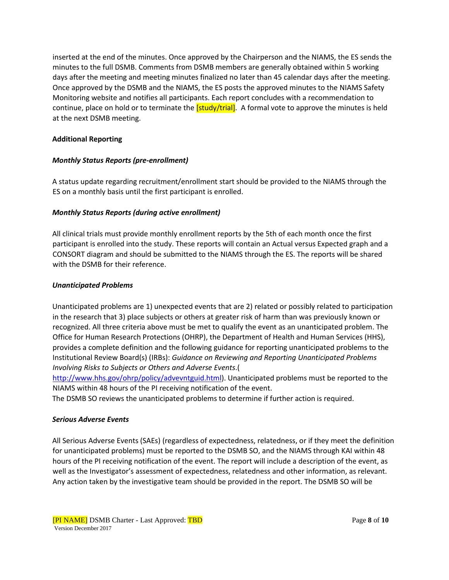inserted at the end of the minutes. Once approved by the Chairperson and the NIAMS, the ES sends the minutes to the full DSMB. Comments from DSMB members are generally obtained within 5 working days after the meeting and meeting minutes finalized no later than 45 calendar days after the meeting. Once approved by the DSMB and the NIAMS, the ES posts the approved minutes to the NIAMS Safety Monitoring website and notifies all participants. Each report concludes with a recommendation to continue, place on hold or to terminate the **[study/trial]**. A formal vote to approve the minutes is held at the next DSMB meeting.

### **Additional Reporting**

### *Monthly Status Reports (pre-enrollment)*

A status update regarding recruitment/enrollment start should be provided to the NIAMS through the ES on a monthly basis until the first participant is enrolled.

### *Monthly Status Reports (during active enrollment)*

All clinical trials must provide monthly enrollment reports by the 5th of each month once the first participant is enrolled into the study. These reports will contain an Actual versus Expected graph and a CONSORT diagram and should be submitted to the NIAMS through the ES. The reports will be shared with the DSMB for their reference.

#### *Unanticipated Problems*

Unanticipated problems are 1) unexpected events that are 2) related or possibly related to participation in the research that 3) place subjects or others at greater risk of harm than was previously known or recognized. All three criteria above must be met to qualify the event as an unanticipated problem. The Office for Human Research Protections (OHRP), the Department of Health and Human Services (HHS), provides a complete definition and the following guidance for reporting unanticipated problems to the Institutional Review Board(s) (IRBs): *Guidance on Reviewing and Reporting Unanticipated Problems Involving Risks to Subjects or Others and Adverse Events*.(

[http://www.hhs.gov/ohrp/policy/advevntguid.html\).](http://www.hhs.gov/ohrp/policy/advevntguid.html) Unanticipated problems must be reported to the NIAMS within 48 hours of the PI receiving notification of the event.

The DSMB SO reviews the unanticipated problems to determine if further action is required.

#### *Serious Adverse Events*

All Serious Adverse Events (SAEs) (regardless of expectedness, relatedness, or if they meet the definition for unanticipated problems) must be reported to the DSMB SO, and the NIAMS through KAI within 48 hours of the PI receiving notification of the event. The report will include a description of the event, as well as the Investigator's assessment of expectedness, relatedness and other information, as relevant. Any action taken by the investigative team should be provided in the report. The DSMB SO will be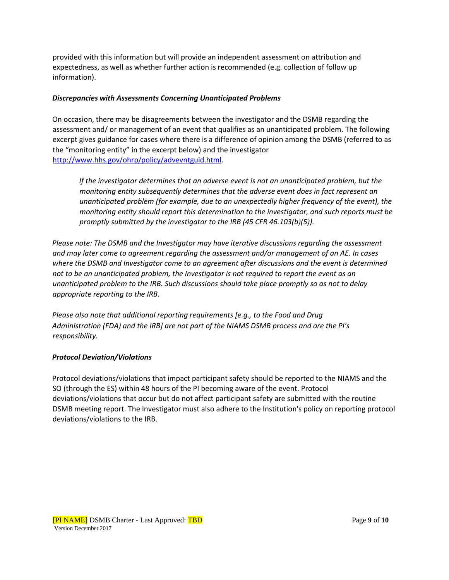provided with this information but will provide an independent assessment on attribution and expectedness, as well as whether further action is recommended (e.g. collection of follow up information).

### *Discrepancies with Assessments Concerning Unanticipated Problems*

On occasion, there may be disagreements between the investigator and the DSMB regarding the assessment and/ or management of an event that qualifies as an unanticipated problem. The following excerpt gives guidance for cases where there is a difference of opinion among the DSMB (referred to as the "monitoring entity" in the excerpt below) and the investigator [http://www.hhs.gov/ohrp/policy/advevntguid.html.](http://www.hhs.gov/ohrp/policy/advevntguid.html) 

*If the investigator determines that an adverse event is not an unanticipated problem, but the monitoring entity subsequently determines that the adverse event does in fact represent an unanticipated problem (for example, due to an unexpectedly higher frequency of the event), the monitoring entity should report this determination to the investigator, and such reports must be promptly submitted by the investigator to the IRB (45 CFR 46.103(b)(5)).*

*Please note: The DSMB and the Investigator may have iterative discussions regarding the assessment and may later come to agreement regarding the assessment and/or management of an AE. In cases where the DSMB and Investigator come to an agreement after discussions and the event is determined not to be an unanticipated problem, the Investigator is not required to report the event as an unanticipated problem to the IRB. Such discussions should take place promptly so as not to delay appropriate reporting to the IRB.* 

*Please also note that additional reporting requirements [e.g., to the Food and Drug Administration (FDA) and the IRB] are not part of the NIAMS DSMB process and are the PI's responsibility.* 

### *Protocol Deviation/Violations*

Protocol deviations/violations that impact participant safety should be reported to the NIAMS and the SO (through the ES) within 48 hours of the PI becoming aware of the event. Protocol deviations/violations that occur but do not affect participant safety are submitted with the routine DSMB meeting report. The Investigator must also adhere to the Institution's policy on reporting protocol deviations/violations to the IRB.